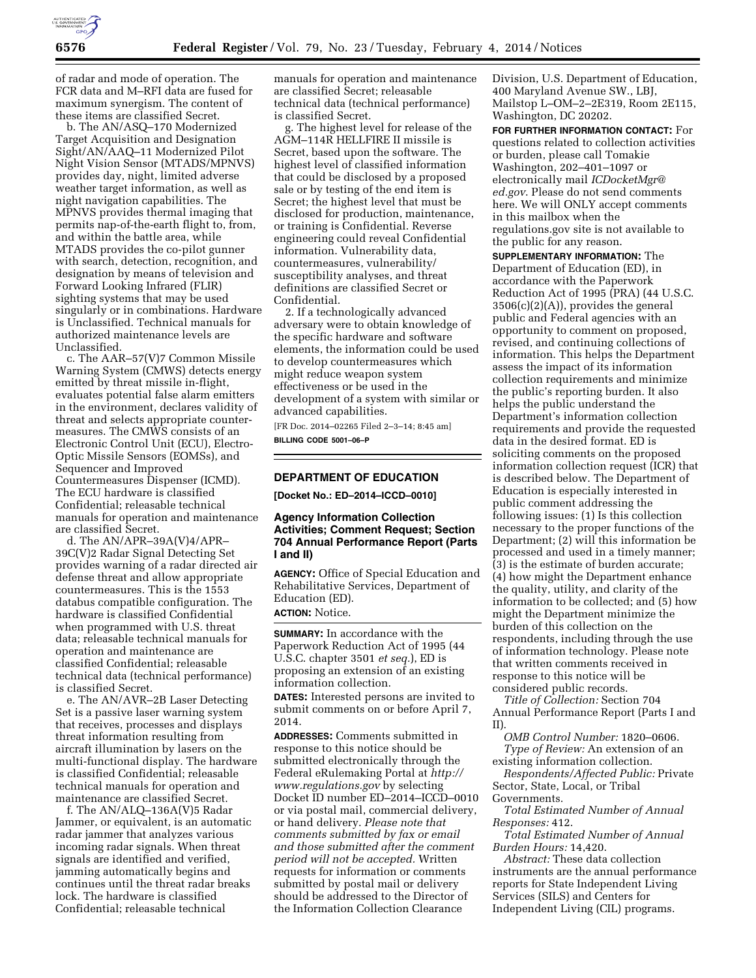

of radar and mode of operation. The FCR data and M–RFI data are fused for maximum synergism. The content of these items are classified Secret.

b. The AN/ASQ–170 Modernized Target Acquisition and Designation Sight/AN/AAQ–11 Modernized Pilot Night Vision Sensor (MTADS/MPNVS) provides day, night, limited adverse weather target information, as well as night navigation capabilities. The MPNVS provides thermal imaging that permits nap-of-the-earth flight to, from, and within the battle area, while MTADS provides the co-pilot gunner with search, detection, recognition, and designation by means of television and Forward Looking Infrared (FLIR) sighting systems that may be used singularly or in combinations. Hardware is Unclassified. Technical manuals for authorized maintenance levels are Unclassified.

c. The AAR–57(V)7 Common Missile Warning System (CMWS) detects energy emitted by threat missile in-flight, evaluates potential false alarm emitters in the environment, declares validity of threat and selects appropriate countermeasures. The CMWS consists of an Electronic Control Unit (ECU), Electro-Optic Missile Sensors (EOMSs), and Sequencer and Improved Countermeasures Dispenser (ICMD). The ECU hardware is classified Confidential; releasable technical manuals for operation and maintenance are classified Secret.

d. The AN/APR–39A(V)4/APR– 39C(V)2 Radar Signal Detecting Set provides warning of a radar directed air defense threat and allow appropriate countermeasures. This is the 1553 databus compatible configuration. The hardware is classified Confidential when programmed with U.S. threat data; releasable technical manuals for operation and maintenance are classified Confidential; releasable technical data (technical performance) is classified Secret.

e. The AN/AVR–2B Laser Detecting Set is a passive laser warning system that receives, processes and displays threat information resulting from aircraft illumination by lasers on the multi-functional display. The hardware is classified Confidential; releasable technical manuals for operation and maintenance are classified Secret.

f. The AN/ALQ–136A(V)5 Radar Jammer, or equivalent, is an automatic radar jammer that analyzes various incoming radar signals. When threat signals are identified and verified, jamming automatically begins and continues until the threat radar breaks lock. The hardware is classified Confidential; releasable technical

manuals for operation and maintenance are classified Secret; releasable technical data (technical performance) is classified Secret.

g. The highest level for release of the AGM–114R HELLFIRE II missile is Secret, based upon the software. The highest level of classified information that could be disclosed by a proposed sale or by testing of the end item is Secret; the highest level that must be disclosed for production, maintenance, or training is Confidential. Reverse engineering could reveal Confidential information. Vulnerability data, countermeasures, vulnerability/ susceptibility analyses, and threat definitions are classified Secret or Confidential.

2. If a technologically advanced adversary were to obtain knowledge of the specific hardware and software elements, the information could be used to develop countermeasures which might reduce weapon system effectiveness or be used in the development of a system with similar or advanced capabilities.

[FR Doc. 2014–02265 Filed 2–3–14; 8:45 am] **BILLING CODE 5001–06–P** 

### **DEPARTMENT OF EDUCATION**

**[Docket No.: ED–2014–ICCD–0010]** 

## **Agency Information Collection Activities; Comment Request; Section 704 Annual Performance Report (Parts I and II)**

**AGENCY:** Office of Special Education and Rehabilitative Services, Department of Education (ED).

**ACTION:** Notice.

**SUMMARY:** In accordance with the Paperwork Reduction Act of 1995 (44 U.S.C. chapter 3501 *et seq.*), ED is proposing an extension of an existing information collection.

**DATES:** Interested persons are invited to submit comments on or before April 7, 2014.

**ADDRESSES:** Comments submitted in response to this notice should be submitted electronically through the Federal eRulemaking Portal at *[http://](http://www.regulations.gov) [www.regulations.gov](http://www.regulations.gov)* by selecting Docket ID number ED–2014–ICCD–0010 or via postal mail, commercial delivery, or hand delivery. *Please note that comments submitted by fax or email and those submitted after the comment period will not be accepted.* Written requests for information or comments submitted by postal mail or delivery should be addressed to the Director of the Information Collection Clearance

Division, U.S. Department of Education, 400 Maryland Avenue SW., LBJ, Mailstop L–OM–2–2E319, Room 2E115, Washington, DC 20202.

**FOR FURTHER INFORMATION CONTACT:** For questions related to collection activities or burden, please call Tomakie Washington, 202–401–1097 or electronically mail *[ICDocketMgr@](mailto:ICDocketMgr@ed.gov) [ed.gov](mailto:ICDocketMgr@ed.gov)*. Please do not send comments here. We will ONLY accept comments in this mailbox when the regulations.gov site is not available to the public for any reason.

**SUPPLEMENTARY INFORMATION:** The Department of Education (ED), in accordance with the Paperwork Reduction Act of 1995 (PRA) (44 U.S.C.  $3506(c)(2)(A)$ , provides the general public and Federal agencies with an opportunity to comment on proposed, revised, and continuing collections of information. This helps the Department assess the impact of its information collection requirements and minimize the public's reporting burden. It also helps the public understand the Department's information collection requirements and provide the requested data in the desired format. ED is soliciting comments on the proposed information collection request (ICR) that is described below. The Department of Education is especially interested in public comment addressing the following issues: (1) Is this collection necessary to the proper functions of the Department; (2) will this information be processed and used in a timely manner; (3) is the estimate of burden accurate; (4) how might the Department enhance the quality, utility, and clarity of the information to be collected; and (5) how might the Department minimize the burden of this collection on the respondents, including through the use of information technology. Please note that written comments received in response to this notice will be considered public records.

*Title of Collection:* Section 704 Annual Performance Report (Parts I and II).

*OMB Control Number:* 1820–0606. *Type of Review:* An extension of an existing information collection.

*Respondents/Affected Public:* Private Sector, State, Local, or Tribal Governments.

*Total Estimated Number of Annual Responses:* 412.

*Total Estimated Number of Annual Burden Hours:* 14,420.

*Abstract:* These data collection instruments are the annual performance reports for State Independent Living Services (SILS) and Centers for Independent Living (CIL) programs.